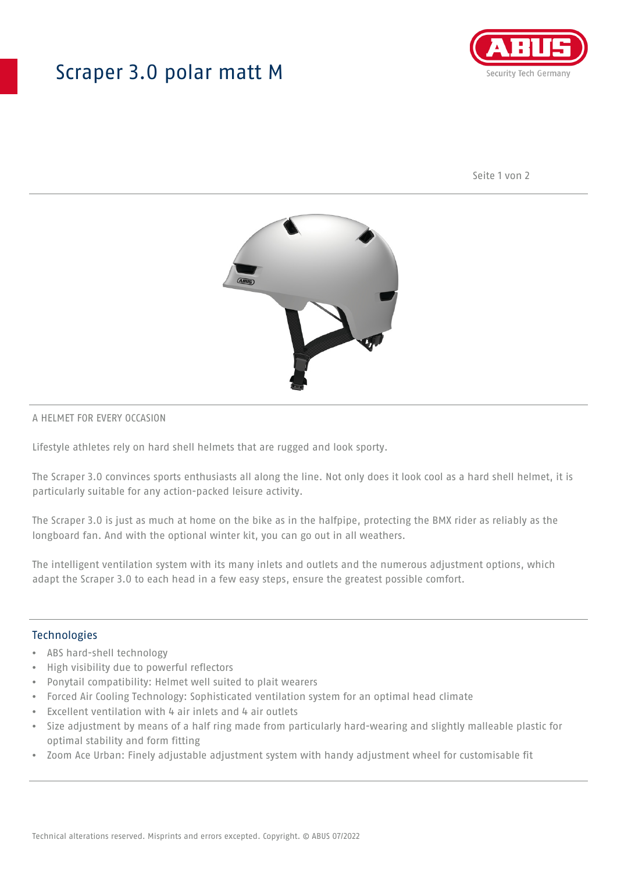## Scraper 3.0 polar matt M



Seite 1 von 2



#### A HELMET FOR EVERY OCCASION

Lifestyle athletes rely on hard shell helmets that are rugged and look sporty.

The Scraper 3.0 convinces sports enthusiasts all along the line. Not only does it look cool as a hard shell helmet, it is particularly suitable for any action-packed leisure activity.

The Scraper 3.0 is just as much at home on the bike as in the halfpipe, protecting the BMX rider as reliably as the longboard fan. And with the optional winter kit, you can go out in all weathers.

The intelligent ventilation system with its many inlets and outlets and the numerous adjustment options, which adapt the Scraper 3.0 to each head in a few easy steps, ensure the greatest possible comfort.

#### Technologies

- ABS hard-shell technology
- High visibility due to powerful reflectors
- Ponytail compatibility: Helmet well suited to plait wearers
- Forced Air Cooling Technology: Sophisticated ventilation system for an optimal head climate
- Excellent ventilation with 4 air inlets and 4 air outlets
- Size adjustment by means of a half ring made from particularly hard-wearing and slightly malleable plastic for optimal stability and form fitting
- Zoom Ace Urban: Finely adjustable adjustment system with handy adjustment wheel for customisable fit